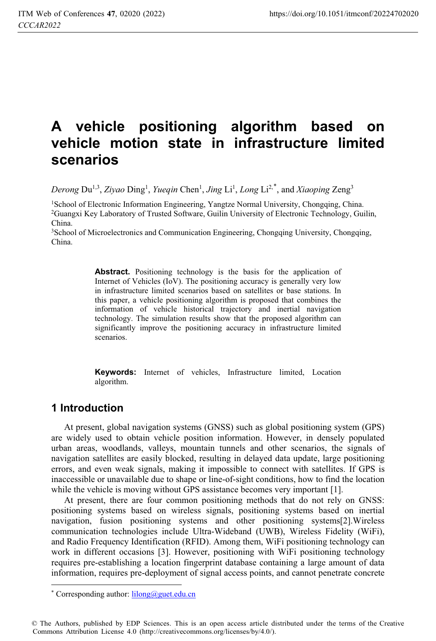# **A vehicle positioning algorithm based on vehicle motion state in infrastructure limited scenarios**

Derong Du<sup>1,3</sup>, *Ziyao* Ding<sup>1</sup>, *Yueqin* Chen<sup>1</sup>, *Jing* Li<sup>1</sup>, *Long* Li<sup>2,\*</sup>, and *Xiaoping* Zeng<sup>3</sup>

<sup>1</sup>School of Electronic Information Engineering, Yangtze Normal University, Chongqing, China.<br><sup>2</sup>Guangxi Key Laboratory of Trusted Software, Guilin University of Electronic Technology, Guilin, China.

<sup>3</sup>School of Microelectronics and Communication Engineering, Chongqing University, Chongqing, China.

> Abstract. Positioning technology is the basis for the application of Internet of Vehicles (IoV). The positioning accuracy is generally very low in infrastructure limited scenarios based on satellites or base stations. In this paper, a vehicle positioning algorithm is proposed that combines the information of vehicle historical trajectory and inertial navigation technology. The simulation results show that the proposed algorithm can significantly improve the positioning accuracy in infrastructure limited scenarios.

> **Keywords:** Internet of vehicles, Infrastructure limited, Location algorithm.

### **1 Introduction**

 $\ddot{\phantom{a}}$ 

At present, global navigation systems (GNSS) such as global positioning system (GPS) are widely used to obtain vehicle position information. However, in densely populated urban areas, woodlands, valleys, mountain tunnels and other scenarios, the signals of navigation satellites are easily blocked, resulting in delayed data update, large positioning errors, and even weak signals, making it impossible to connect with satellites. If GPS is inaccessible or unavailable due to shape or line-of-sight conditions, how to find the location while the vehicle is moving without GPS assistance becomes very important [1].

At present, there are four common positioning methods that do not rely on GNSS: positioning systems based on wireless signals, positioning systems based on inertial navigation, fusion positioning systems and other positioning systems[2].Wireless communication technologies include Ultra-Wideband (UWB), Wireless Fidelity (WiFi), and Radio Frequency Identification (RFID). Among them, WiFi positioning technology can work in different occasions [3]. However, positioning with WiFi positioning technology requires pre-establishing a location fingerprint database containing a large amount of data information, requires pre-deployment of signal access points, and cannot penetrate concrete

<sup>\*</sup> Corresponding author:  $\frac{1 \times \text{R}}{2}$  Corresponding author:  $\frac{1}{100}$  Congress Corresponding author:

<sup>©</sup> The Authors, published by EDP Sciences. This is an open access article distributed under the terms of the Creative Commons Attribution License 4.0 (http://creativecommons.org/licenses/by/4.0/).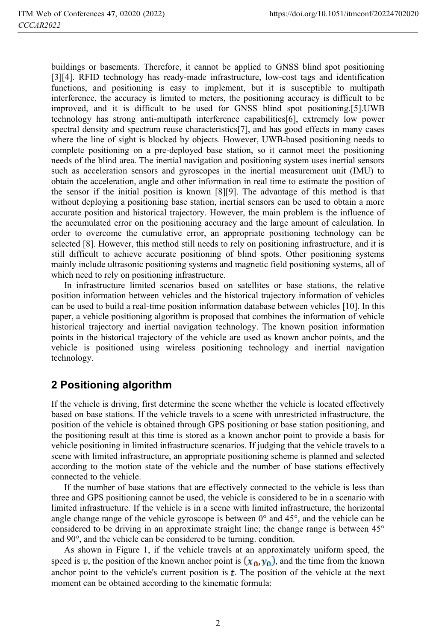buildings or basements. Therefore, it cannot be applied to GNSS blind spot positioning [3][4]. RFID technology has ready-made infrastructure, low-cost tags and identification functions, and positioning is easy to implement, but it is susceptible to multipath interference, the accuracy is limited to meters, the positioning accuracy is difficult to be improved, and it is difficult to be used for GNSS blind spot positioning.[5].UWB technology has strong anti-multipath interference capabilities[6], extremely low power spectral density and spectrum reuse characteristics[7], and has good effects in many cases where the line of sight is blocked by objects. However, UWB-based positioning needs to complete positioning on a pre-deployed base station, so it cannot meet the positioning needs of the blind area. The inertial navigation and positioning system uses inertial sensors such as acceleration sensors and gyroscopes in the inertial measurement unit (IMU) to obtain the acceleration, angle and other information in real time to estimate the position of the sensor if the initial position is known [8][9]. The advantage of this method is that without deploying a positioning base station, inertial sensors can be used to obtain a more accurate position and historical trajectory. However, the main problem is the influence of the accumulated error on the positioning accuracy and the large amount of calculation. In order to overcome the cumulative error, an appropriate positioning technology can be selected [8]. However, this method still needs to rely on positioning infrastructure, and it is still difficult to achieve accurate positioning of blind spots. Other positioning systems mainly include ultrasonic positioning systems and magnetic field positioning systems, all of which need to rely on positioning infrastructure.

In infrastructure limited scenarios based on satellites or base stations, the relative position information between vehicles and the historical trajectory information of vehicles can be used to build a real-time position information database between vehicles [10]. In this paper, a vehicle positioning algorithm is proposed that combines the information of vehicle historical trajectory and inertial navigation technology. The known position information points in the historical trajectory of the vehicle are used as known anchor points, and the vehicle is positioned using wireless positioning technology and inertial navigation technology.

## **2 Positioning algorithm**

If the vehicle is driving, first determine the scene whether the vehicle is located effectively based on base stations. If the vehicle travels to a scene with unrestricted infrastructure, the position of the vehicle is obtained through GPS positioning or base station positioning, and the positioning result at this time is stored as a known anchor point to provide a basis for vehicle positioning in limited infrastructure scenarios. If judging that the vehicle travels to a scene with limited infrastructure, an appropriate positioning scheme is planned and selected according to the motion state of the vehicle and the number of base stations effectively connected to the vehicle.

If the number of base stations that are effectively connected to the vehicle is less than three and GPS positioning cannot be used, the vehicle is considered to be in a scenario with limited infrastructure. If the vehicle is in a scene with limited infrastructure, the horizontal angle change range of the vehicle gyroscope is between  $0^{\circ}$  and  $45^{\circ}$ , and the vehicle can be considered to be driving in an approximate straight line; the change range is between 45° and 90°, and the vehicle can be considered to be turning. condition.

As shown in Figure 1, if the vehicle travels at an approximately uniform speed, the speed is v, the position of the known anchor point is  $(x_0, y_0)$ , and the time from the known anchor point to the vehicle's current position is  $t$ . The position of the vehicle at the next moment can be obtained according to the kinematic formula: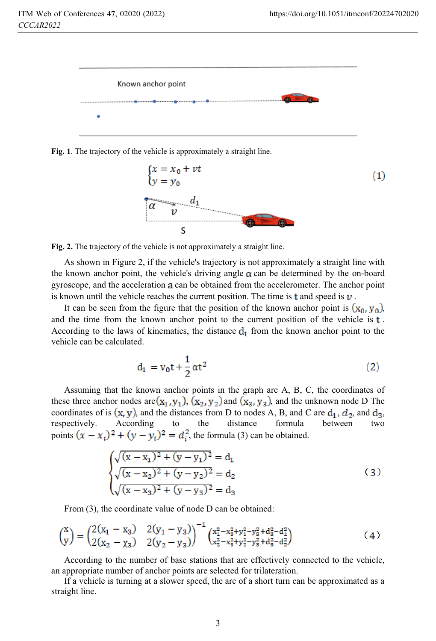

**Fig. 1**. The trajectory of the vehicle is approximately a straight line.



**Fig. 2.** The trajectory of the vehicle is not approximately a straight line.

As shown in Figure 2, if the vehicle's trajectory is not approximately a straight line with the known anchor point, the vehicle's driving angle  $\alpha$  can be determined by the on-board gyroscope, and the acceleration a can be obtained from the accelerometer. The anchor point is known until the vehicle reaches the current position. The time is  $\tau$  and speed is  $\nu$ .

It can be seen from the figure that the position of the known anchor point is  $(x_0, y_0)$ , and the time from the known anchor point to the current position of the vehicle is  $t$ . According to the laws of kinematics, the distance  $d_1$  from the known anchor point to the vehicle can be calculated.

$$
d_1 = v_0 t + \frac{1}{2} \alpha t^2 \tag{2}
$$

Assuming that the known anchor points in the graph are A, B, C, the coordinates of these three anchor nodes are  $(x_1, y_1)$ ,  $(x_2, y_2)$  and  $(x_3, y_3)$ , and the unknown node D The coordinates of is  $(x, y)$ , and the distances from D to nodes A, B, and C are  $d_1$ ,  $d_2$ , and  $d_3$ , respectively. According to the distance formula between two points  $(x - x_i)^2 + (y - y_i)^2 = d_i^2$ , the formula (3) can be obtained.

$$
\begin{cases}\n\sqrt{(x-x_1)^2 + (y-y_1)^2} = d_1 \\
\sqrt{(x-x_2)^2 + (y-y_2)^2} = d_2 \\
\sqrt{(x-x_3)^2 + (y-y_3)^2} = d_3\n\end{cases}
$$
\n(3)

From (3), the coordinate value of node D can be obtained:

$$
\begin{pmatrix} x \ y \end{pmatrix} = \begin{pmatrix} 2(x_1 - x_3) & 2(y_1 - y_3) \\ 2(x_2 - x_3) & 2(y_2 - y_3) \end{pmatrix}^{-1} \begin{pmatrix} x_1^2 - x_8^2 + y_1^2 - y_8^2 + d_8^2 - d_1^2 \\ x_2^2 - x_8^2 + y_2^2 - y_8^2 + d_8^2 - d_2^2 \end{pmatrix}
$$
 (4)

According to the number of base stations that are effectively connected to the vehicle, an appropriate number of anchor points are selected for trilateration.

If a vehicle is turning at a slower speed, the arc of a short turn can be approximated as a straight line.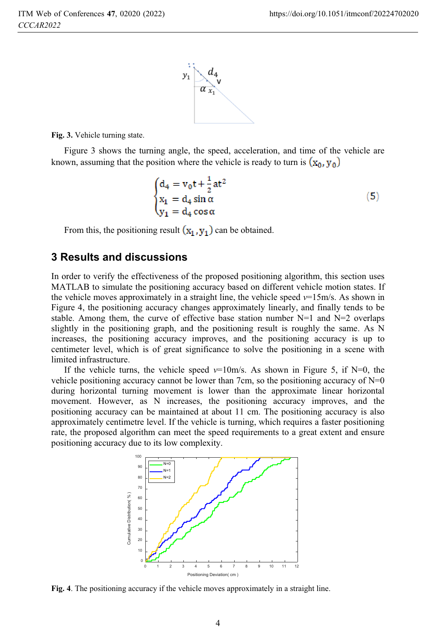

**Fig. 3.** Vehicle turning state.

Figure 3 shows the turning angle, the speed, acceleration, and time of the vehicle are known, assuming that the position where the vehicle is ready to turn is  $(\mathbf{x}_0, \mathbf{v}_0)$ 

$$
\begin{cases}\nd_4 = v_0 t + \frac{1}{2}at^2 \\
x_1 = d_4 \sin \alpha \\
y_1 = d_4 \cos \alpha\n\end{cases}
$$
\n(5)

From this, the positioning result  $(x_1, y_1)$  can be obtained.

#### **3 Results and discussions**

In order to verify the effectiveness of the proposed positioning algorithm, this section uses MATLAB to simulate the positioning accuracy based on different vehicle motion states. If the vehicle moves approximately in a straight line, the vehicle speed  $v=15$ m/s. As shown in Figure 4, the positioning accuracy changes approximately linearly, and finally tends to be stable. Among them, the curve of effective base station number  $N=1$  and  $N=2$  overlaps slightly in the positioning graph, and the positioning result is roughly the same. As N increases, the positioning accuracy improves, and the positioning accuracy is up to centimeter level, which is of great significance to solve the positioning in a scene with limited infrastructure.

If the vehicle turns, the vehicle speed  $v=10$  m/s. As shown in Figure 5, if N=0, the vehicle positioning accuracy cannot be lower than 7cm, so the positioning accuracy of  $N=0$ during horizontal turning movement is lower than the approximate linear horizontal movement. However, as N increases, the positioning accuracy improves, and the positioning accuracy can be maintained at about 11 cm. The positioning accuracy is also approximately centimetre level. If the vehicle is turning, which requires a faster positioning rate, the proposed algorithm can meet the speed requirements to a great extent and ensure positioning accuracy due to its low complexity.



**Fig. 4**. The positioning accuracy if the vehicle moves approximately in a straight line.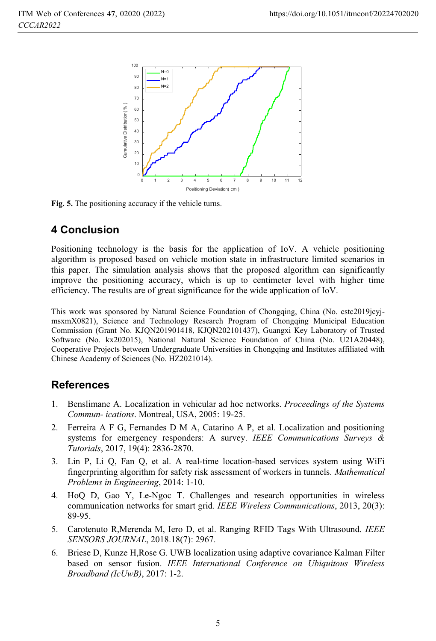

**Fig. 5.** The positioning accuracy if the vehicle turns.

# **4 Conclusion**

Positioning technology is the basis for the application of IoV. A vehicle positioning algorithm is proposed based on vehicle motion state in infrastructure limited scenarios in this paper. The simulation analysis shows that the proposed algorithm can significantly improve the positioning accuracy, which is up to centimeter level with higher time efficiency. The results are of great significance for the wide application of IoV.

This work was sponsored by Natural Science Foundation of Chongqing, China (No. cstc2019jcyjmsxmX0821), Science and Technology Research Program of Chongqing Municipal Education Commission (Grant No. KJQN201901418, KJQN202101437), Guangxi Key Laboratory of Trusted Software (No. kx202015), National Natural Science Foundation of China (No. U21A20448), Cooperative Projects between Undergraduate Universities in Chongqing and Institutes affiliated with Chinese Academy of Sciences (No. HZ2021014).

#### **References**

- 1. Benslimane A. Localization in vehicular ad hoc networks. *Proceedings of the Systems Commun- ications*. Montreal, USA, 2005: 19-25.
- 2. Ferreira A F G, Fernandes D M A, Catarino A P, et al. Localization and positioning systems for emergency responders: A survey. *IEEE Communications Surveys & Tutorials*, 2017, 19(4): 2836-2870.
- 3. Lin P, Li Q, Fan Q, et al. A real-time location-based services system using WiFi fingerprinting algorithm for safety risk assessment of workers in tunnels. *Mathematical Problems in Engineering*, 2014: 1-10.
- 4. HoQ D, Gao Y, Le-Ngoc T. Challenges and research opportunities in wireless communication networks for smart grid. *IEEE Wireless Communications*, 2013, 20(3): 89-95.
- 5. Carotenuto R,Merenda M, Iero D, et al. Ranging RFID Tags With Ultrasound. *IEEE SENSORS JOURNAL*, 2018.18(7): 2967.
- 6. Briese D, Kunze H,Rose G. UWB localization using adaptive covariance Kalman Filter based on sensor fusion. *IEEE International Conference on Ubiquitous Wireless Broadband (IcUwB)*, 2017: 1-2.